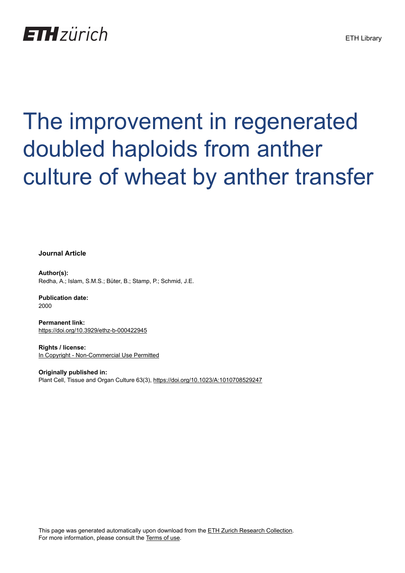

# The improvement in regenerated doubled haploids from anther culture of wheat by anther transfer

**Journal Article**

**Author(s):** Redha, A.; Islam, S.M.S.; Büter, B.; Stamp, P.; Schmid, J.E.

**Publication date:** 2000

**Permanent link:** <https://doi.org/10.3929/ethz-b-000422945>

**Rights / license:** [In Copyright - Non-Commercial Use Permitted](http://rightsstatements.org/page/InC-NC/1.0/)

**Originally published in:** Plant Cell, Tissue and Organ Culture 63(3),<https://doi.org/10.1023/A:1010708529247>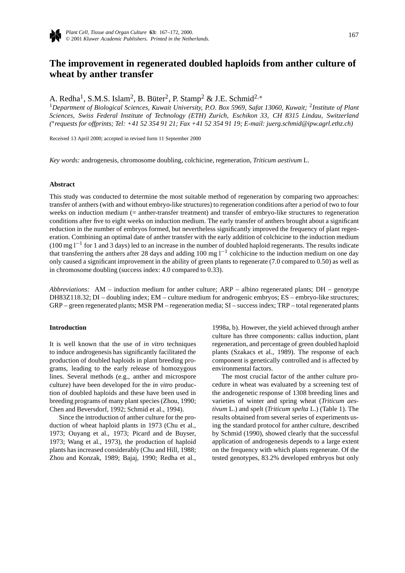

# **The improvement in regenerated doubled haploids from anther culture of wheat by anther transfer**

A. Redha1, S.M.S. Islam2, B. Büter2, P. Stamp2 & J.E. Schmid2*,*<sup>∗</sup>

<sup>1</sup>*Department of Biological Sciences, Kuwait University, P.O. Box 5969, Safat 13060, Kuwait;* <sup>2</sup>*Institute of Plant Sciences, Swiss Federal Institute of Technology (ETH) Zurich, Eschikon 33, CH 8315 Lindau, Switzerland (* ∗*requests for offprints; Tel: +41 52 354 91 21; Fax +41 52 354 91 19; E-mail: juerg.schmid@ipw.agrl.ethz.ch)*

Received 13 April 2000; accepted in revised form 11 September 2000

*Key words:* androgenesis, chromosome doubling, colchicine, regeneration, *Triticum aestivum* L.

#### **Abstract**

This study was conducted to determine the most suitable method of regeneration by comparing two approaches: transfer of anthers (with and without embryo-like structures) to regeneration conditions after a period of two to four weeks on induction medium (= anther-transfer treatment) and transfer of embryo-like structures to regeneration conditions after five to eight weeks on induction medium. The early transfer of anthers brought about a significant reduction in the number of embryos formed, but nevertheless significantly improved the frequency of plant regeneration. Combining an optimal date of anther transfer with the early addition of colchicine to the induction medium (100 mg l<sup>-1</sup> for 1 and 3 days) led to an increase in the number of doubled haploid regenerants. The results indicate that transferring the anthers after 28 days and adding 100 mg  $l^{-1}$  colchicine to the induction medium on one day only caused a significant improvement in the ability of green plants to regenerate (7.0 compared to 0.50) as well as in chromosome doubling (success index: 4.0 compared to 0.33).

*Abbreviations:* AM – induction medium for anther culture; ARP – albino regenerated plants; DH – genotype DH83Z118.32; DI – doubling index; EM – culture medium for androgenic embryos; ES – embryo-like structures; GRP – green regenerated plants; MSR PM – regeneration media; SI – success index; TRP – total regenerated plants

#### **Introduction**

It is well known that the use of *in vitro* techniques to induce androgenesis has significantly facilitated the production of doubled haploids in plant breeding programs, leading to the early release of homozygous lines. Several methods (e.g., anther and microspore culture) have been developed for the *in vitro* production of doubled haploids and these have been used in breeding programs of many plant species (Zhou, 1990; Chen and Beversdorf, 1992; Schmid et al., 1994).

Since the introduction of anther culture for the production of wheat haploid plants in 1973 (Chu et al., 1973; Ouyang et al., 1973; Picard and de Buyser, 1973; Wang et al., 1973), the production of haploid plants has increased considerably (Chu and Hill, 1988; Zhou and Konzak, 1989; Bajaj, 1990; Redha et al.,

1998a, b). However, the yield achieved through anther culture has three components: callus induction, plant regeneration, and percentage of green doubled haploid plants (Szakacs et al., 1989). The response of each component is genetically controlled and is affected by environmental factors.

The most crucial factor of the anther culture procedure in wheat was evaluated by a screening test of the androgenetic response of 1308 breeding lines and varieties of winter and spring wheat (*Triticum aestivum* L.) and spelt (*Triticum spelta* L.) (Table 1). The results obtained from several series of experiments using the standard protocol for anther culture, described by Schmid (1990), showed clearly that the successful application of androgenesis depends to a large extent on the frequency with which plants regenerate. Of the tested genotypes, 83.2% developed embryos but only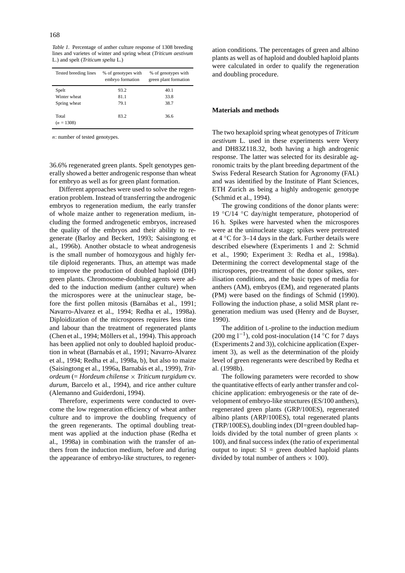*Table 1.* Percentage of anther culture response of 1308 breeding lines and varietes of winter and spring wheat (*Triticum aestivum* L.) and spelt (*Triticum spelta* L.)

| Tested breeding lines | % of genotypes with<br>embryo formation | % of genotypes with<br>green plant formation |  |  |
|-----------------------|-----------------------------------------|----------------------------------------------|--|--|
| Spelt                 | 93.2                                    | 40.1                                         |  |  |
| Winter wheat          | 81.1                                    | 33.8                                         |  |  |
| Spring wheat          | 79.1                                    | 38.7                                         |  |  |
| Total<br>$(n = 1308)$ | 83.2                                    | 36.6                                         |  |  |

*n*: number of tested genotypes.

36.6% regenerated green plants. Spelt genotypes generally showed a better androgenic response than wheat for embryo as well as for green plant formation.

Different approaches were used to solve the regeneration problem. Instead of transferring the androgenic embryos to regeneration medium, the early transfer of whole maize anther to regeneration medium, including the formed androgenetic embryos, increased the quality of the embryos and their ability to regenerate (Barloy and Beckert, 1993; Saisingtong et al., 1996b). Another obstacle to wheat androgenesis is the small number of homozygous and highly fertile diploid regenerants. Thus, an attempt was made to improve the production of doubled haploid (DH) green plants. Chromosome-doubling agents were added to the induction medium (anther culture) when the microspores were at the uninuclear stage, before the first pollen mitosis (Barnábas et al., 1991; Navarro-Alvarez et al., 1994; Redha et al., 1998a). Diploidization of the microspores requires less time and labour than the treatment of regenerated plants (Chen et al., 1994; Möllers et al., 1994). This approach has been applied not only to doubled haploid production in wheat (Barnabás et al., 1991; Navarro-Alvarez et al., 1994; Redha et al., 1998a, b), but also to maize (Saisingtong et al., 1996a, Barnabás et al., 1999), *Tritordeum* (= *Hordeum chilense* × *Triticum turgidum* cv. *durum*, Barcelo et al., 1994), and rice anther culture (Alemanno and Guiderdoni, 1994).

Therefore, experiments were conducted to overcome the low regeneration efficiency of wheat anther culture and to improve the doubling frequency of the green regenerants. The optimal doubling treatment was applied at the induction phase (Redha et al., 1998a) in combination with the transfer of anthers from the induction medium, before and during the appearance of embryo-like structures, to regeneration conditions. The percentages of green and albino plants as well as of haploid and doubled haploid plants were calculated in order to qualify the regeneration and doubling procedure.

#### **Materials and methods**

The two hexaploid spring wheat genotypes of *Triticum aestivum* L. used in these experiments were Veery and DH83Z118.32, both having a high androgenic response. The latter was selected for its desirable agronomic traits by the plant breeding department of the Swiss Federal Research Station for Agronomy (FAL) and was identified by the Institute of Plant Sciences, ETH Zurich as being a highly androgenic genotype (Schmid et al., 1994).

The growing conditions of the donor plants were: 19  $\degree$ C/14  $\degree$ C day/night temperature, photoperiod of 16 h. Spikes were harvested when the microspores were at the uninucleate stage; spikes were pretreated at  $4^{\circ}$ C for 3–14 days in the dark. Further details were described elsewhere (Experiments 1 and 2: Schmid et al., 1990; Experiment 3: Redha et al., 1998a). Determining the correct developmental stage of the microspores, pre-treatment of the donor spikes, sterilisation conditions, and the basic types of media for anthers (AM), embryos (EM), and regenerated plants (PM) were based on the findings of Schmid (1990). Following the induction phase, a solid MSR plant regeneration medium was used (Henry and de Buyser, 1990).

The addition of L-proline to the induction medium (200 mg l<sup>-1</sup>), cold post-inoculation (14 °C for 7 days (Experiments 2 and 3)), colchicine application (Experiment 3), as well as the determination of the ploidy level of green regenerants were described by Redha et al. (1998b).

The following parameters were recorded to show the quantitative effects of early anther transfer and colchicine application: embryogenesis or the rate of development of embryo-like structures (ES/100 anthers), regenerated green plants (GRP/100ES), regenerated albino plants (ARP/100ES), total regenerated plants (TRP/100ES), doubling index (DI=green doubled haploids divided by the total number of green plants  $\times$ 100), and final success index (the ratio of experimental output to input:  $SI = green$  doubled haploid plants divided by total number of anthers  $\times$  100).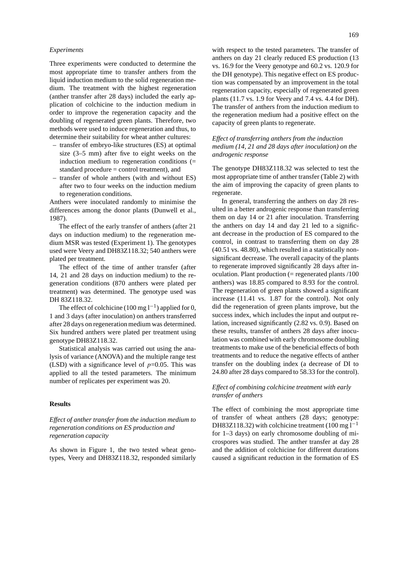## *Experiments*

Three experiments were conducted to determine the most appropriate time to transfer anthers from the liquid induction medium to the solid regeneration medium. The treatment with the highest regeneration (anther transfer after 28 days) included the early application of colchicine to the induction medium in order to improve the regeneration capacity and the doubling of regenerated green plants. Therefore, two methods were used to induce regeneration and thus, to determine their suitability for wheat anther cultures:

- transfer of embryo-like structures (ES) at optimal size (3–5 mm) after five to eight weeks on the induction medium to regeneration conditions (= standard procedure = control treatment), and
- transfer of whole anthers (with and without ES) after two to four weeks on the induction medium to regeneration conditions.

Anthers were inoculated randomly to minimise the differences among the donor plants (Dunwell et al., 1987).

The effect of the early transfer of anthers (after 21 days on induction medium) to the regeneration medium MSR was tested (Experiment 1). The genotypes used were Veery and DH83Z118.32; 540 anthers were plated per treatment.

The effect of the time of anther transfer (after 14, 21 and 28 days on induction medium) to the regeneration conditions (870 anthers were plated per treatment) was determined. The genotype used was DH 83Z118.32.

The effect of colchicine (100 mg  $l^{-1}$ ) applied for 0, 1 and 3 days (after inoculation) on anthers transferred after 28 days on regeneration medium was determined. Six hundred anthers were plated per treatment using genotype DH83Z118.32.

Statistical analysis was carried out using the analysis of variance (ANOVA) and the multiple range test (LSD) with a significance level of  $p=0.05$ . This was applied to all the tested parameters. The minimum number of replicates per experiment was 20.

#### **Results**

*Effect of anther transfer from the induction medium to regeneration conditions on ES production and regeneration capacity*

As shown in Figure 1, the two tested wheat genotypes, Veery and DH83Z118.32, responded similarly with respect to the tested parameters. The transfer of anthers on day 21 clearly reduced ES production (13 vs. 16.9 for the Veery genotype and 60.2 vs. 120.9 for the DH genotype). This negative effect on ES production was compensated by an improvement in the total regeneration capacity, especially of regenerated green plants (11.7 vs. 1.9 for Veery and 7.4 vs. 4.4 for DH). The transfer of anthers from the induction medium to the regeneration medium had a positive effect on the capacity of green plants to regenerate.

# *Effect of transferring anthers from the induction medium (14, 21 and 28 days after inoculation) on the androgenic response*

The genotype DH83Z118.32 was selected to test the most appropriate time of anther transfer (Table 2) with the aim of improving the capacity of green plants to regenerate.

In general, transferring the anthers on day 28 resulted in a better androgenic response than transferring them on day 14 or 21 after inoculation. Transferring the anthers on day 14 and day 21 led to a significant decrease in the production of ES compared to the control, in contrast to transferring them on day 28 (40.51 vs. 48.80), which resulted in a statistically nonsignificant decrease. The overall capacity of the plants to regenerate improved significantly 28 days after inoculation. Plant production  $(=$  regenerated plants  $/100$ anthers) was 18.85 compared to 8.93 for the control. The regeneration of green plants showed a significant increase (11.41 vs. 1.87 for the control). Not only did the regeneration of green plants improve, but the success index, which includes the input and output relation, increased significantly (2.82 vs. 0.9). Based on these results, transfer of anthers 28 days after inoculation was combined with early chromosome doubling treatments to make use of the beneficial effects of both treatments and to reduce the negative effects of anther transfer on the doubling index (a decrease of DI to 24.80 after 28 days compared to 58.33 for the control).

## *Effect of combining colchicine treatment with early transfer of anthers*

The effect of combining the most appropriate time of transfer of wheat anthers (28 days; genotype: DH83Z118.32) with colchicine treatment (100 mg  $l^{-1}$ for 1–3 days) on early chromosome doubling of microspores was studied. The anther transfer at day 28 and the addition of colchicine for different durations caused a significant reduction in the formation of ES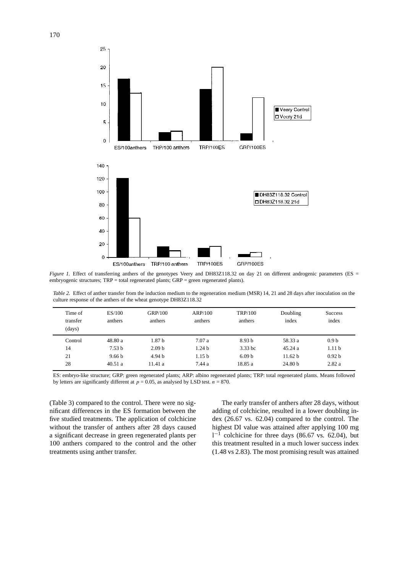

*Figure 1.* Effect of transferring anthers of the genotypes Veery and DH83Z118.32 on day 21 on different androgenic parameters (ES = embryogenic structures; TRP = total regenerated plants; GRP = green regenerated plants).

*Table 2.* Effect of anther transfer from the induction medium to the regeneration medium (MSR) 14, 21 and 28 days after inoculation on the culture response of the anthers of the wheat genotype DH83Z118.32

| Time of<br>transfer<br>(days) | ES/100<br>anthers | GRP/100<br>anthers | ARP/100<br>anthers | <b>TRP/100</b><br>anthers | Doubling<br>index  | <b>Success</b><br>index |
|-------------------------------|-------------------|--------------------|--------------------|---------------------------|--------------------|-------------------------|
| Control                       | 48.80 a           | 1.87 <sub>b</sub>  | 7.07a              | 8.93 <sub>b</sub>         | 58.33 a            | 0.9 <sub>b</sub>        |
| 14                            | 7.53 <sub>b</sub> | 2.09 <sub>b</sub>  | 1.24 <sub>b</sub>  | $3.33$ bc                 | 45.24a             | 1.11 <sub>b</sub>       |
| 21                            | 9.66 <sub>b</sub> | 4.94 b             | 1.15 <sub>b</sub>  | 6.09 <sub>b</sub>         | 11.62 h            | 0.92 <sub>b</sub>       |
| 28                            | 40.51a            | 11.41a             | 7.44 a             | 18.85 a                   | 24.80 <sub>b</sub> | 2.82a                   |

ES: embryo-like structure; GRP: green regenerated plants; ARP: albino regenerated plants; TRP: total regenerated plants. Means followed by letters are significantly different at  $p = 0.05$ , as analysed by LSD test.  $n = 870$ .

(Table 3) compared to the control. There were no significant differences in the ES formation between the five studied treatments. The application of colchicine without the transfer of anthers after 28 days caused a significant decrease in green regenerated plants per 100 anthers compared to the control and the other treatments using anther transfer.

The early transfer of anthers after 28 days, without adding of colchicine, resulted in a lower doubling index (26.67 vs. 62.04) compared to the control. The highest DI value was attained after applying 100 mg  $1^{-1}$  colchicine for three days (86.67 vs. 62.04), but this treatment resulted in a much lower success index (1.48 vs 2.83). The most promising result was attained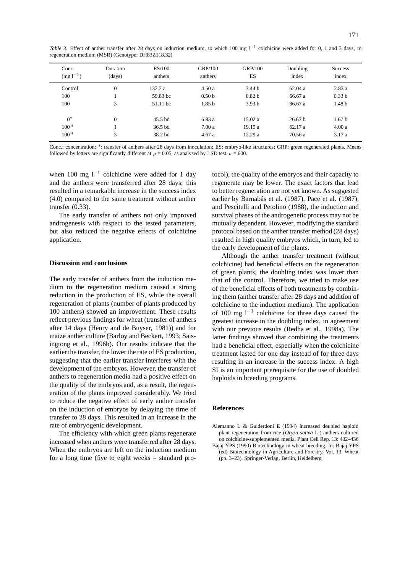| Conc.<br>$(mg1^{-1})$ | Duration<br>(days) | ES/100<br>anthers  | GRP/100<br>anthers | <b>GRP/100</b><br>ES | Doubling<br>index  | <b>Success</b><br>index |
|-----------------------|--------------------|--------------------|--------------------|----------------------|--------------------|-------------------------|
| Control               | $\theta$           | 132.2 a            | 4.50a              | 3.44 <sub>b</sub>    | 62.04a             | 2.83a                   |
| 100                   |                    | 59.83 bc           | 0.50 <sub>b</sub>  | 0.82 <sub>b</sub>    | 66.67 a            | 0.33 <sub>b</sub>       |
| 100                   | 3                  | 51.11 bc           | 1.85 <sub>b</sub>  | 3.93 <sub>b</sub>    | 86.67 a            | 1.48 <sub>b</sub>       |
| $0^*$                 | $\mathbf{0}$       | $45.5$ bd          | 6.83a              | 15.02a               | 26.67 <sub>b</sub> | 1.67 <sub>b</sub>       |
| $100*$                |                    | 36.5 <sub>bd</sub> | 7.00a              | 19.15a               | 62.17a             | 4.00a                   |
| $100*$                | 3                  | 38.2 bd            | 4.67a              | 12.29a               | 70.56 a            | 3.17a                   |

Conc.: concentration; ∗: transfer of anthers after 28 days from inoculation; ES: embryo-like structures; GRP: green regenerated plants. Means followed by letters are significantly different at  $p = 0.05$ , as analysed by LSD test.  $n = 600$ .

when 100 mg  $l^{-1}$  colchicine were added for 1 day and the anthers were transferred after 28 days; this resulted in a remarkable increase in the success index (4.0) compared to the same treatment without anther transfer (0.33).

The early transfer of anthers not only improved androgenesis with respect to the tested parameters, but also reduced the negative effects of colchicine application.

#### **Discussion and conclusions**

The early transfer of anthers from the induction medium to the regeneration medium caused a strong reduction in the production of ES, while the overall regeneration of plants (number of plants produced by 100 anthers) showed an improvement. These results reflect previous findings for wheat (transfer of anthers after 14 days (Henry and de Buyser, 1981)) and for maize anther culture (Barloy and Beckert, 1993; Saisingtong et al., 1996b). Our results indicate that the earlier the transfer, the lower the rate of ES production, suggesting that the earlier transfer interferes with the development of the embryos. However, the transfer of anthers to regeneration media had a positive effect on the quality of the embryos and, as a result, the regeneration of the plants improved considerably. We tried to reduce the negative effect of early anther transfer on the induction of embryos by delaying the time of transfer to 28 days. This resulted in an increase in the rate of embryogenic development.

The efficiency with which green plants regenerate increased when anthers were transferred after 28 days. When the embryos are left on the induction medium for a long time (five to eight weeks  $=$  standard protocol), the quality of the embryos and their capacity to regenerate may be lower. The exact factors that lead to better regeneration are not yet known. As suggested earlier by Barnabás et al. (1987), Pace et al. (1987), and Pescitelli and Petolino (1988), the induction and survival phases of the androgenetic process may not be mutually dependent. However, modifying the standard protocol based on the anther transfer method (28 days) resulted in high quality embryos which, in turn, led to the early development of the plants.

Although the anther transfer treatment (without colchicine) had beneficial effects on the regeneration of green plants, the doubling index was lower than that of the control. Therefore, we tried to make use of the beneficial effects of both treatments by combining them (anther transfer after 28 days and addition of colchicine to the induction medium). The application of 100 mg l−<sup>1</sup> colchicine for three days caused the greatest increase in the doubling index, in agreement with our previous results (Redha et al., 1998a). The latter findings showed that combining the treatments had a beneficial effect, especially when the colchicine treatment lasted for one day instead of for three days resulting in an increase in the success index. A high SI is an important prerequisite for the use of doubled haploids in breeding programs.

#### **References**

Alemanno L & Guiderdoni E (1994) Increased doubled haploid plant regeneration from rice (*Oryza sativa* L.) anthers cultured on colchicine-supplemented media. Plant Cell Rep. 13: 432–436

Bajaj YPS (1990) Biotechnology in wheat breeding. In: Bajaj YPS (ed) Biotechnology in Agriculture and Forestry, Vol. 13, Wheat (pp. 3–23). Springer-Verlag, Berlin, Heidelberg